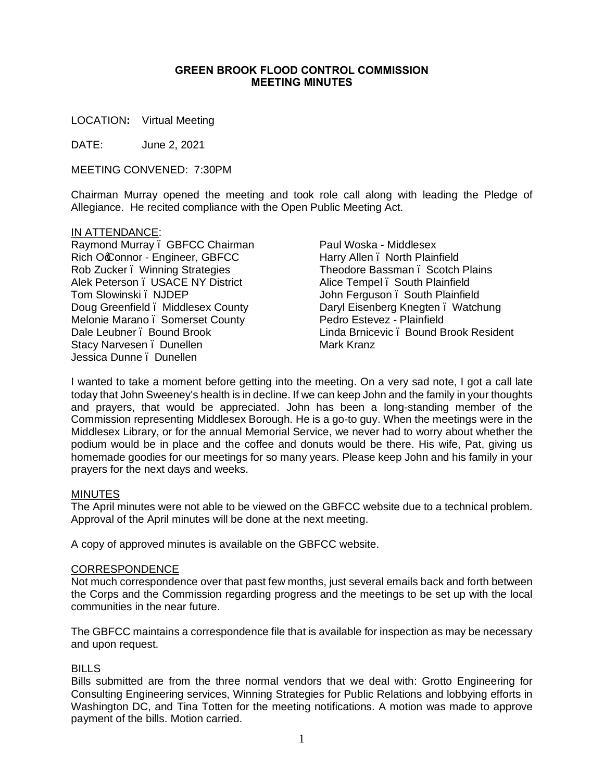#### **GREEN BROOK FLOOD CONTROL COMMISSION MEETING MINUTES**

LOCATION**:** Virtual Meeting

DATE: June 2, 2021

MEETING CONVENED: 7:30PM

Chairman Murray opened the meeting and took role call along with leading the Pledge of Allegiance. He recited compliance with the Open Public Meeting Act.

#### IN ATTENDANCE:

Raymond Murray – GBFCC Chairman Rich OcConnor - Engineer, GBFCC Rob Zucker – Winning Strategies Alek Peterson – USACE NY District Tom Slowinski – NJDEP Doug Greenfield – Middlesex County Melonie Marano . Somerset County Dale Leubner . Bound Brook Stacy Narvesen . Dunellen Jessica Dunne – Dunellen

Paul Woska - Middlesex Harry Allen – North Plainfield Theodore Bassman, Scotch Plains Alice Tempel – South Plainfield John Ferguson – South Plainfield Daryl Eisenberg Knegten . Watchung Pedro Estevez - Plainfield Linda Brnicevic – Bound Brook Resident Mark Kranz

I wanted to take a moment before getting into the meeting. On a very sad note, I got a call late today that John Sweeney's health is in decline. If we can keep John and the family in your thoughts and prayers, that would be appreciated. John has been a long-standing member of the Commission representing Middlesex Borough. He is a go-to guy. When the meetings were in the Middlesex Library, or for the annual Memorial Service, we never had to worry about whether the podium would be in place and the coffee and donuts would be there. His wife, Pat, giving us homemade goodies for our meetings for so many years. Please keep John and his family in your prayers for the next days and weeks.

#### MINUTES

The April minutes were not able to be viewed on the GBFCC website due to a technical problem. Approval of the April minutes will be done at the next meeting.

A copy of approved minutes is available on the GBFCC website.

#### CORRESPONDENCE

Not much correspondence over that past few months, just several emails back and forth between the Corps and the Commission regarding progress and the meetings to be set up with the local communities in the near future.

The GBFCC maintains a correspondence file that is available for inspection as may be necessary and upon request.

#### BILLS

Bills submitted are from the three normal vendors that we deal with: Grotto Engineering for Consulting Engineering services, Winning Strategies for Public Relations and lobbying efforts in Washington DC, and Tina Totten for the meeting notifications. A motion was made to approve payment of the bills. Motion carried.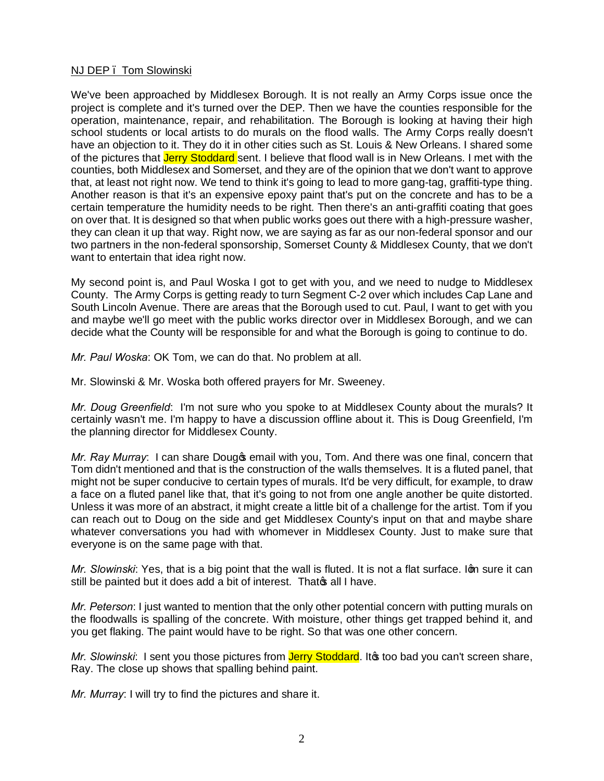# NJ DEP – Tom Slowinski

We've been approached by Middlesex Borough. It is not really an Army Corps issue once the project is complete and it's turned over the DEP. Then we have the counties responsible for the operation, maintenance, repair, and rehabilitation. The Borough is looking at having their high school students or local artists to do murals on the flood walls. The Army Corps really doesn't have an objection to it. They do it in other cities such as St. Louis & New Orleans. I shared some of the pictures that Jerry Stoddard sent. I believe that flood wall is in New Orleans. I met with the counties, both Middlesex and Somerset, and they are of the opinion that we don't want to approve that, at least not right now. We tend to think it's going to lead to more gang-tag, graffiti-type thing. Another reason is that it's an expensive epoxy paint that's put on the concrete and has to be a certain temperature the humidity needs to be right. Then there's an anti-graffiti coating that goes on over that. It is designed so that when public works goes out there with a high-pressure washer, they can clean it up that way. Right now, we are saying as far as our non-federal sponsor and our two partners in the non-federal sponsorship, Somerset County & Middlesex County, that we don't want to entertain that idea right now.

My second point is, and Paul Woska I got to get with you, and we need to nudge to Middlesex County. The Army Corps is getting ready to turn Segment C-2 over which includes Cap Lane and South Lincoln Avenue. There are areas that the Borough used to cut. Paul, I want to get with you and maybe we'll go meet with the public works director over in Middlesex Borough, and we can decide what the County will be responsible for and what the Borough is going to continue to do.

*Mr. Paul Woska*: OK Tom, we can do that. No problem at all.

Mr. Slowinski & Mr. Woska both offered prayers for Mr. Sweeney.

*Mr. Doug Greenfield*: I'm not sure who you spoke to at Middlesex County about the murals? It certainly wasn't me. I'm happy to have a discussion offline about it. This is Doug Greenfield, I'm the planning director for Middlesex County.

*Mr. Ray Murray*: I can share Dougos email with you, Tom. And there was one final, concern that Tom didn't mentioned and that is the construction of the walls themselves. It is a fluted panel, that might not be super conducive to certain types of murals. It'd be very difficult, for example, to draw a face on a fluted panel like that, that it's going to not from one angle another be quite distorted. Unless it was more of an abstract, it might create a little bit of a challenge for the artist. Tom if you can reach out to Doug on the side and get Middlesex County's input on that and maybe share whatever conversations you had with whomever in Middlesex County. Just to make sure that everyone is on the same page with that.

*Mr. Slowinski:* Yes, that is a big point that the wall is fluted. It is not a flat surface. Ign sure it can still be painted but it does add a bit of interest. That wall I have.

*Mr. Peterson*: I just wanted to mention that the only other potential concern with putting murals on the floodwalls is spalling of the concrete. With moisture, other things get trapped behind it, and you get flaking. The paint would have to be right. So that was one other concern.

*Mr. Slowinski*: I sent you those pictures from Jerry Stoddard. It to bad you can't screen share, Ray. The close up shows that spalling behind paint.

*Mr. Murray*: I will try to find the pictures and share it.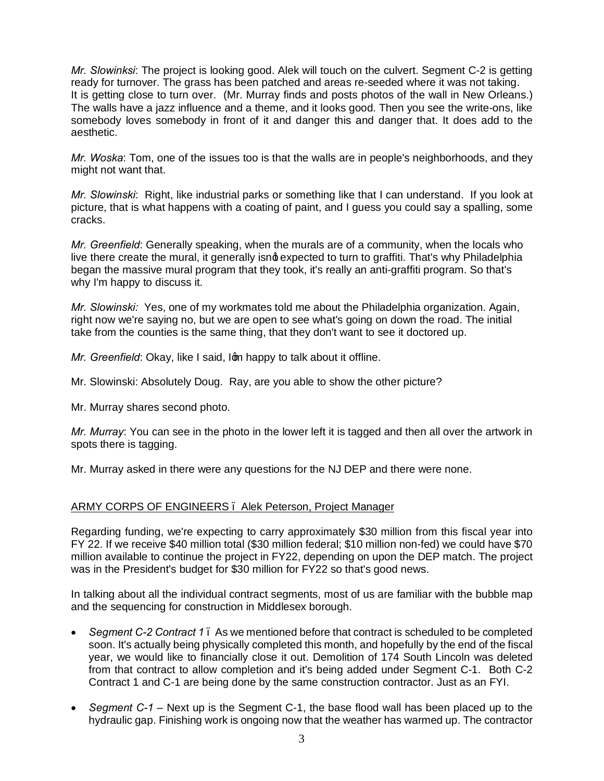*Mr. Slowinksi*: The project is looking good. Alek will touch on the culvert. Segment C-2 is getting ready for turnover. The grass has been patched and areas re-seeded where it was not taking. It is getting close to turn over. (Mr. Murray finds and posts photos of the wall in New Orleans.) The walls have a jazz influence and a theme, and it looks good. Then you see the write-ons, like somebody loves somebody in front of it and danger this and danger that. It does add to the aesthetic.

*Mr. Woska*: Tom, one of the issues too is that the walls are in people's neighborhoods, and they might not want that.

*Mr. Slowinski*: Right, like industrial parks or something like that I can understand. If you look at picture, that is what happens with a coating of paint, and I guess you could say a spalling, some cracks.

*Mr. Greenfield*: Generally speaking, when the murals are of a community, when the locals who live there create the mural, it generally isnd expected to turn to graffiti. That's why Philadelphia began the massive mural program that they took, it's really an anti-graffiti program. So that's why I'm happy to discuss it.

*Mr. Slowinski:* Yes, one of my workmates told me about the Philadelphia organization. Again, right now we're saying no, but we are open to see what's going on down the road. The initial take from the counties is the same thing, that they don't want to see it doctored up.

*Mr. Greenfield: Okay, like I said, Ign happy to talk about it offline.* 

Mr. Slowinski: Absolutely Doug. Ray, are you able to show the other picture?

Mr. Murray shares second photo.

*Mr. Murray*: You can see in the photo in the lower left it is tagged and then all over the artwork in spots there is tagging.

Mr. Murray asked in there were any questions for the NJ DEP and there were none.

## ARMY CORPS OF ENGINEERS – Alek Peterson, Project Manager

Regarding funding, we're expecting to carry approximately \$30 million from this fiscal year into FY 22. If we receive \$40 million total (\$30 million federal; \$10 million non-fed) we could have \$70 million available to continue the project in FY22, depending on upon the DEP match. The project was in the President's budget for \$30 million for FY22 so that's good news.

In talking about all the individual contract segments, most of us are familiar with the bubble map and the sequencing for construction in Middlesex borough.

- · *Segment C-2 Contract 1* As we mentioned before that contract is scheduled to be completed soon. It's actually being physically completed this month, and hopefully by the end of the fiscal year, we would like to financially close it out. Demolition of 174 South Lincoln was deleted from that contract to allow completion and it's being added under Segment C-1. Both C-2 Contract 1 and C-1 are being done by the same construction contractor. Just as an FYI.
- · *Segment C-1 –* Next up is the Segment C-1, the base flood wall has been placed up to the hydraulic gap. Finishing work is ongoing now that the weather has warmed up. The contractor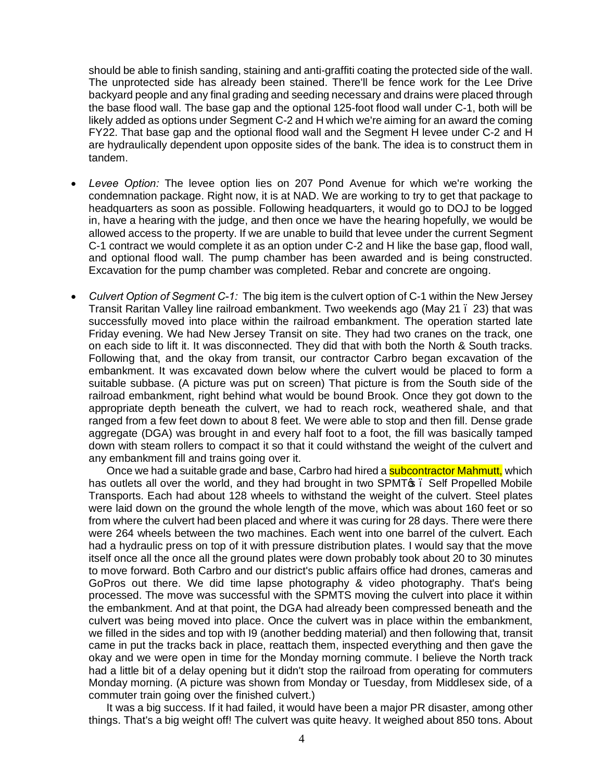should be able to finish sanding, staining and anti-graffiti coating the protected side of the wall. The unprotected side has already been stained. There'll be fence work for the Lee Drive backyard people and any final grading and seeding necessary and drains were placed through the base flood wall. The base gap and the optional 125-foot flood wall under C-1, both will be likely added as options under Segment C-2 and H which we're aiming for an award the coming FY22. That base gap and the optional flood wall and the Segment H levee under C-2 and H are hydraulically dependent upon opposite sides of the bank. The idea is to construct them in tandem.

- Levee Option: The levee option lies on 207 Pond Avenue for which we're working the condemnation package. Right now, it is at NAD. We are working to try to get that package to headquarters as soon as possible. Following headquarters, it would go to DOJ to be logged in, have a hearing with the judge, and then once we have the hearing hopefully, we would be allowed access to the property. If we are unable to build that levee under the current Segment C-1 contract we would complete it as an option under C-2 and H like the base gap, flood wall, and optional flood wall. The pump chamber has been awarded and is being constructed. Excavation for the pump chamber was completed. Rebar and concrete are ongoing.
- · *Culvert Option of Segment C-1:* The big item is the culvert option of C-1 within the New Jersey Transit Raritan Valley line railroad embankment. Two weekends ago (May 21 – 23) that was successfully moved into place within the railroad embankment. The operation started late Friday evening. We had New Jersey Transit on site. They had two cranes on the track, one on each side to lift it. It was disconnected. They did that with both the North & South tracks. Following that, and the okay from transit, our contractor Carbro began excavation of the embankment. It was excavated down below where the culvert would be placed to form a suitable subbase. (A picture was put on screen) That picture is from the South side of the railroad embankment, right behind what would be bound Brook. Once they got down to the appropriate depth beneath the culvert, we had to reach rock, weathered shale, and that ranged from a few feet down to about 8 feet. We were able to stop and then fill. Dense grade aggregate (DGA) was brought in and every half foot to a foot, the fill was basically tamped down with steam rollers to compact it so that it could withstand the weight of the culvert and any embankment fill and trains going over it.

Once we had a suitable grade and base, Carbro had hired a **subcontractor Mahmutt**, which has outlets all over the world, and they had brought in two SPMT<sub>OS</sub>. Self Propelled Mobile Transports. Each had about 128 wheels to withstand the weight of the culvert. Steel plates were laid down on the ground the whole length of the move, which was about 160 feet or so from where the culvert had been placed and where it was curing for 28 days. There were there were 264 wheels between the two machines. Each went into one barrel of the culvert. Each had a hydraulic press on top of it with pressure distribution plates. I would say that the move itself once all the once all the ground plates were down probably took about 20 to 30 minutes to move forward. Both Carbro and our district's public affairs office had drones, cameras and GoPros out there. We did time lapse photography & video photography. That's being processed. The move was successful with the SPMTS moving the culvert into place it within the embankment. And at that point, the DGA had already been compressed beneath and the culvert was being moved into place. Once the culvert was in place within the embankment, we filled in the sides and top with I9 (another bedding material) and then following that, transit came in put the tracks back in place, reattach them, inspected everything and then gave the okay and we were open in time for the Monday morning commute. I believe the North track had a little bit of a delay opening but it didn't stop the railroad from operating for commuters Monday morning. (A picture was shown from Monday or Tuesday, from Middlesex side, of a commuter train going over the finished culvert.)

It was a big success. If it had failed, it would have been a major PR disaster, among other things. That's a big weight off! The culvert was quite heavy. It weighed about 850 tons. About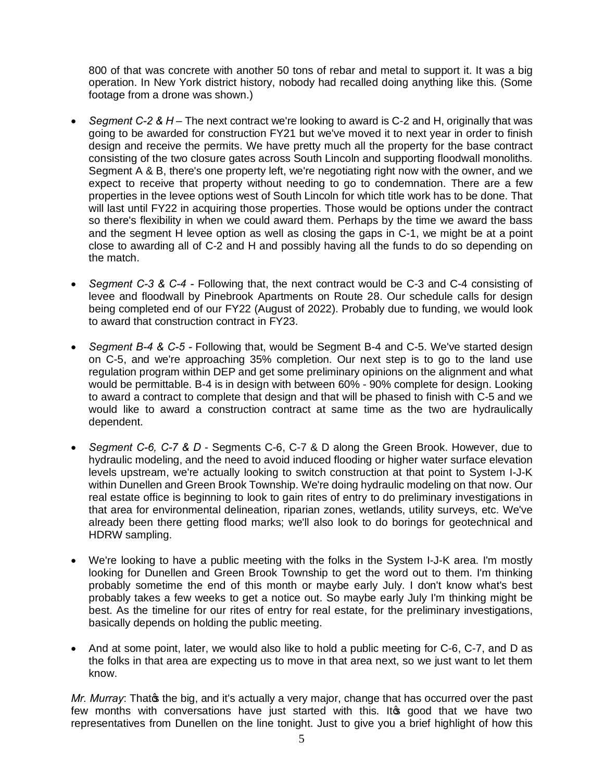800 of that was concrete with another 50 tons of rebar and metal to support it. It was a big operation. In New York district history, nobody had recalled doing anything like this. (Some footage from a drone was shown.)

- · *Segment C-2 & H –* The next contract we're looking to award is C-2 and H, originally that was going to be awarded for construction FY21 but we've moved it to next year in order to finish design and receive the permits. We have pretty much all the property for the base contract consisting of the two closure gates across South Lincoln and supporting floodwall monoliths. Segment A & B, there's one property left, we're negotiating right now with the owner, and we expect to receive that property without needing to go to condemnation. There are a few properties in the levee options west of South Lincoln for which title work has to be done. That will last until FY22 in acquiring those properties. Those would be options under the contract so there's flexibility in when we could award them. Perhaps by the time we award the bass and the segment H levee option as well as closing the gaps in C-1, we might be at a point close to awarding all of C-2 and H and possibly having all the funds to do so depending on the match.
- · *Segment C-3 & C-4 -* Following that, the next contract would be C-3 and C-4 consisting of levee and floodwall by Pinebrook Apartments on Route 28. Our schedule calls for design being completed end of our FY22 (August of 2022). Probably due to funding, we would look to award that construction contract in FY23.
- · *Segment B-4 & C-5 -* Following that, would be Segment B-4 and C-5. We've started design on C-5, and we're approaching 35% completion. Our next step is to go to the land use regulation program within DEP and get some preliminary opinions on the alignment and what would be permittable. B-4 is in design with between 60% - 90% complete for design. Looking to award a contract to complete that design and that will be phased to finish with C-5 and we would like to award a construction contract at same time as the two are hydraulically dependent.
- · *Segment C-6, C-7 & D* Segments C-6, C-7 & D along the Green Brook. However, due to hydraulic modeling, and the need to avoid induced flooding or higher water surface elevation levels upstream, we're actually looking to switch construction at that point to System I-J-K within Dunellen and Green Brook Township. We're doing hydraulic modeling on that now. Our real estate office is beginning to look to gain rites of entry to do preliminary investigations in that area for environmental delineation, riparian zones, wetlands, utility surveys, etc. We've already been there getting flood marks; we'll also look to do borings for geotechnical and HDRW sampling.
- · We're looking to have a public meeting with the folks in the System I-J-K area. I'm mostly looking for Dunellen and Green Brook Township to get the word out to them. I'm thinking probably sometime the end of this month or maybe early July. I don't know what's best probably takes a few weeks to get a notice out. So maybe early July I'm thinking might be best. As the timeline for our rites of entry for real estate, for the preliminary investigations, basically depends on holding the public meeting.
- And at some point, later, we would also like to hold a public meeting for C-6, C-7, and D as the folks in that area are expecting us to move in that area next, so we just want to let them know.

*Mr. Murray*: Thatos the big, and it's actually a very major, change that has occurred over the past few months with conversations have just started with this. It is good that we have two representatives from Dunellen on the line tonight. Just to give you a brief highlight of how this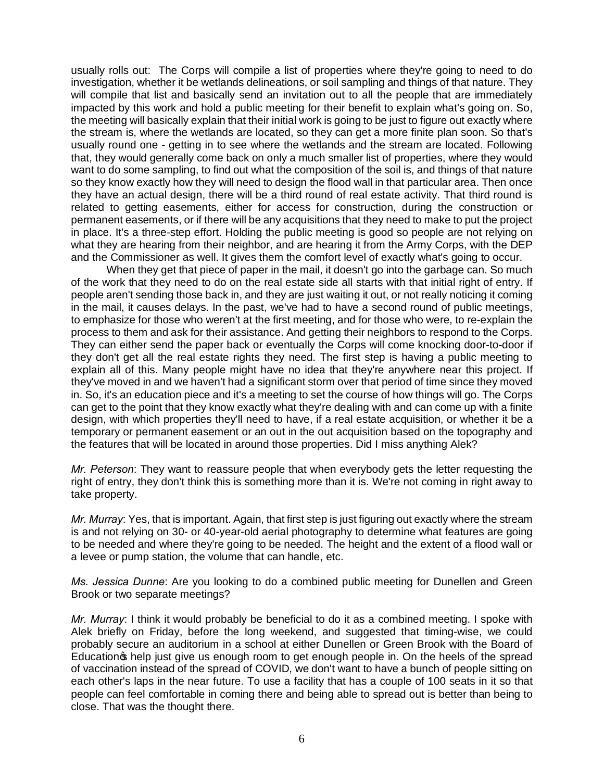usually rolls out: The Corps will compile a list of properties where they're going to need to do investigation, whether it be wetlands delineations, or soil sampling and things of that nature. They will compile that list and basically send an invitation out to all the people that are immediately impacted by this work and hold a public meeting for their benefit to explain what's going on. So, the meeting will basically explain that their initial work is going to be just to figure out exactly where the stream is, where the wetlands are located, so they can get a more finite plan soon. So that's usually round one - getting in to see where the wetlands and the stream are located. Following that, they would generally come back on only a much smaller list of properties, where they would want to do some sampling, to find out what the composition of the soil is, and things of that nature so they know exactly how they will need to design the flood wall in that particular area. Then once they have an actual design, there will be a third round of real estate activity. That third round is related to getting easements, either for access for construction, during the construction or permanent easements, or if there will be any acquisitions that they need to make to put the project in place. It's a three-step effort. Holding the public meeting is good so people are not relying on what they are hearing from their neighbor, and are hearing it from the Army Corps, with the DEP and the Commissioner as well. It gives them the comfort level of exactly what's going to occur.

When they get that piece of paper in the mail, it doesn't go into the garbage can. So much of the work that they need to do on the real estate side all starts with that initial right of entry. If people aren't sending those back in, and they are just waiting it out, or not really noticing it coming in the mail, it causes delays. In the past, we've had to have a second round of public meetings, to emphasize for those who weren't at the first meeting, and for those who were, to re-explain the process to them and ask for their assistance. And getting their neighbors to respond to the Corps. They can either send the paper back or eventually the Corps will come knocking door-to-door if they don't get all the real estate rights they need. The first step is having a public meeting to explain all of this. Many people might have no idea that they're anywhere near this project. If they've moved in and we haven't had a significant storm over that period of time since they moved in. So, it's an education piece and it's a meeting to set the course of how things will go. The Corps can get to the point that they know exactly what they're dealing with and can come up with a finite design, with which properties they'll need to have, if a real estate acquisition, or whether it be a temporary or permanent easement or an out in the out acquisition based on the topography and the features that will be located in around those properties. Did I miss anything Alek?

*Mr. Peterson*: They want to reassure people that when everybody gets the letter requesting the right of entry, they don't think this is something more than it is. We're not coming in right away to take property.

*Mr. Murray*: Yes, that is important. Again, that first step is just figuring out exactly where the stream is and not relying on 30- or 40-year-old aerial photography to determine what features are going to be needed and where they're going to be needed. The height and the extent of a flood wall or a levee or pump station, the volume that can handle, etc.

*Ms. Jessica Dunne*: Are you looking to do a combined public meeting for Dunellen and Green Brook or two separate meetings?

*Mr. Murray*: I think it would probably be beneficial to do it as a combined meeting. I spoke with Alek briefly on Friday, before the long weekend, and suggested that timing-wise, we could probably secure an auditorium in a school at either Dunellen or Green Brook with the Board of Education thelp just give us enough room to get enough people in. On the heels of the spread of vaccination instead of the spread of COVID, we don't want to have a bunch of people sitting on each other's laps in the near future. To use a facility that has a couple of 100 seats in it so that people can feel comfortable in coming there and being able to spread out is better than being to close. That was the thought there.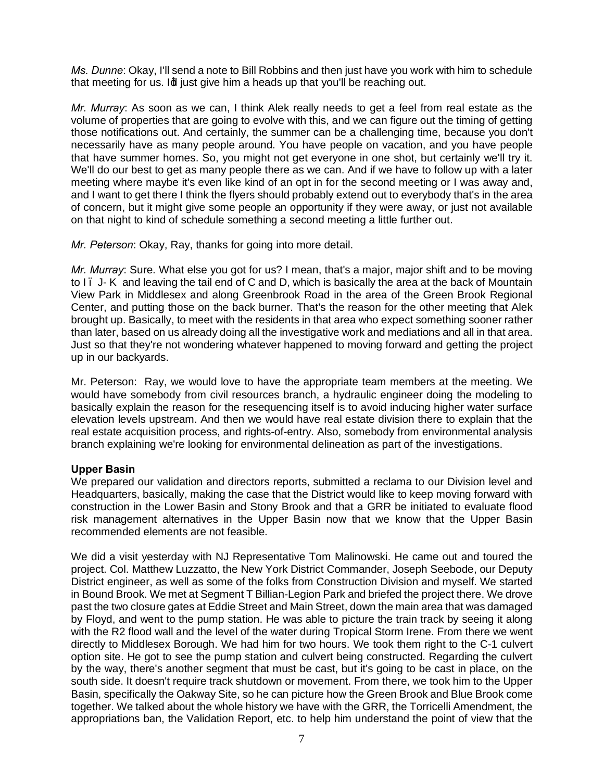*Ms. Dunne*: Okay, I'll send a note to Bill Robbins and then just have you work with him to schedule that meeting for us. Id just give him a heads up that you'll be reaching out.

*Mr. Murray*: As soon as we can, I think Alek really needs to get a feel from real estate as the volume of properties that are going to evolve with this, and we can figure out the timing of getting those notifications out. And certainly, the summer can be a challenging time, because you don't necessarily have as many people around. You have people on vacation, and you have people that have summer homes. So, you might not get everyone in one shot, but certainly we'll try it. We'll do our best to get as many people there as we can. And if we have to follow up with a later meeting where maybe it's even like kind of an opt in for the second meeting or I was away and, and I want to get there I think the flyers should probably extend out to everybody that's in the area of concern, but it might give some people an opportunity if they were away, or just not available on that night to kind of schedule something a second meeting a little further out.

*Mr. Peterson*: Okay, Ray, thanks for going into more detail.

*Mr. Murray*: Sure. What else you got for us? I mean, that's a major, major shift and to be moving to I. J- K and leaving the tail end of C and D, which is basically the area at the back of Mountain View Park in Middlesex and along Greenbrook Road in the area of the Green Brook Regional Center, and putting those on the back burner. That's the reason for the other meeting that Alek brought up. Basically, to meet with the residents in that area who expect something sooner rather than later, based on us already doing all the investigative work and mediations and all in that area. Just so that they're not wondering whatever happened to moving forward and getting the project up in our backyards.

Mr. Peterson: Ray, we would love to have the appropriate team members at the meeting. We would have somebody from civil resources branch, a hydraulic engineer doing the modeling to basically explain the reason for the resequencing itself is to avoid inducing higher water surface elevation levels upstream. And then we would have real estate division there to explain that the real estate acquisition process, and rights-of-entry. Also, somebody from environmental analysis branch explaining we're looking for environmental delineation as part of the investigations.

## **Upper Basin**

We prepared our validation and directors reports, submitted a reclama to our Division level and Headquarters, basically, making the case that the District would like to keep moving forward with construction in the Lower Basin and Stony Brook and that a GRR be initiated to evaluate flood risk management alternatives in the Upper Basin now that we know that the Upper Basin recommended elements are not feasible.

We did a visit yesterday with NJ Representative Tom Malinowski. He came out and toured the project. Col. Matthew Luzzatto, the New York District Commander, Joseph Seebode, our Deputy District engineer, as well as some of the folks from Construction Division and myself. We started in Bound Brook. We met at Segment T Billian-Legion Park and briefed the project there. We drove past the two closure gates at Eddie Street and Main Street, down the main area that was damaged by Floyd, and went to the pump station. He was able to picture the train track by seeing it along with the R2 flood wall and the level of the water during Tropical Storm Irene. From there we went directly to Middlesex Borough. We had him for two hours. We took them right to the C-1 culvert option site. He got to see the pump station and culvert being constructed. Regarding the culvert by the way, there's another segment that must be cast, but it's going to be cast in place, on the south side. It doesn't require track shutdown or movement. From there, we took him to the Upper Basin, specifically the Oakway Site, so he can picture how the Green Brook and Blue Brook come together. We talked about the whole history we have with the GRR, the Torricelli Amendment, the appropriations ban, the Validation Report, etc. to help him understand the point of view that the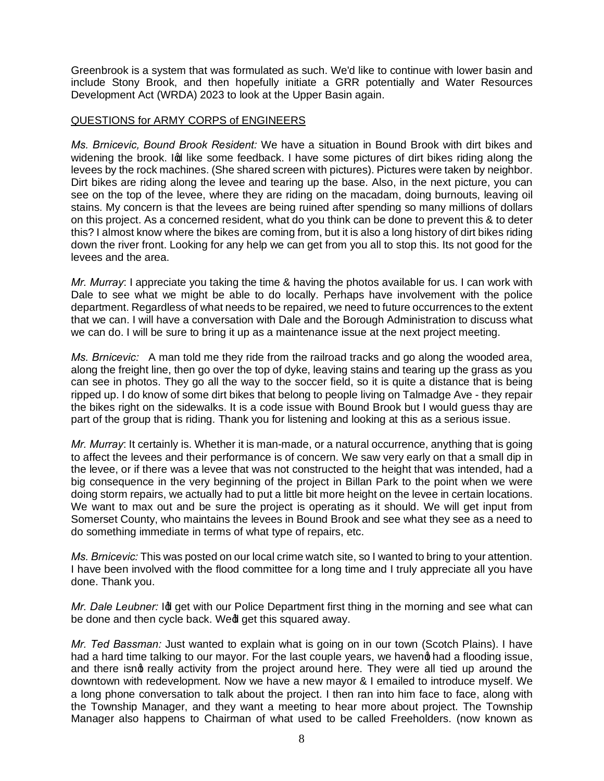Greenbrook is a system that was formulated as such. We'd like to continue with lower basin and include Stony Brook, and then hopefully initiate a GRR potentially and Water Resources Development Act (WRDA) 2023 to look at the Upper Basin again.

### QUESTIONS for ARMY CORPS of ENGINEERS

*Ms. Brnicevic, Bound Brook Resident:* We have a situation in Bound Brook with dirt bikes and widening the brook. In like some feedback. I have some pictures of dirt bikes riding along the levees by the rock machines. (She shared screen with pictures). Pictures were taken by neighbor. Dirt bikes are riding along the levee and tearing up the base. Also, in the next picture, you can see on the top of the levee, where they are riding on the macadam, doing burnouts, leaving oil stains. My concern is that the levees are being ruined after spending so many millions of dollars on this project. As a concerned resident, what do you think can be done to prevent this & to deter this? I almost know where the bikes are coming from, but it is also a long history of dirt bikes riding down the river front. Looking for any help we can get from you all to stop this. Its not good for the levees and the area.

*Mr. Murray*: I appreciate you taking the time & having the photos available for us. I can work with Dale to see what we might be able to do locally. Perhaps have involvement with the police department. Regardless of what needs to be repaired, we need to future occurrences to the extent that we can. I will have a conversation with Dale and the Borough Administration to discuss what we can do. I will be sure to bring it up as a maintenance issue at the next project meeting.

*Ms. Brnicevic:* A man told me they ride from the railroad tracks and go along the wooded area, along the freight line, then go over the top of dyke, leaving stains and tearing up the grass as you can see in photos. They go all the way to the soccer field, so it is quite a distance that is being ripped up. I do know of some dirt bikes that belong to people living on Talmadge Ave - they repair the bikes right on the sidewalks. It is a code issue with Bound Brook but I would guess thay are part of the group that is riding. Thank you for listening and looking at this as a serious issue.

*Mr. Murray*: It certainly is. Whether it is man-made, or a natural occurrence, anything that is going to affect the levees and their performance is of concern. We saw very early on that a small dip in the levee, or if there was a levee that was not constructed to the height that was intended, had a big consequence in the very beginning of the project in Billan Park to the point when we were doing storm repairs, we actually had to put a little bit more height on the levee in certain locations. We want to max out and be sure the project is operating as it should. We will get input from Somerset County, who maintains the levees in Bound Brook and see what they see as a need to do something immediate in terms of what type of repairs, etc.

*Ms. Brnicevic:* This was posted on our local crime watch site, so I wanted to bring to your attention. I have been involved with the flood committee for a long time and I truly appreciate all you have done. Thank you.

*Mr. Dale Leubner:* Id get with our Police Department first thing in the morning and see what can be done and then cycle back. Wedl get this squared away.

*Mr. Ted Bassman:* Just wanted to explain what is going on in our town (Scotch Plains). I have had a hard time talking to our mayor. For the last couple years, we havend had a flooding issue, and there isnd really activity from the project around here. They were all tied up around the downtown with redevelopment. Now we have a new mayor & I emailed to introduce myself. We a long phone conversation to talk about the project. I then ran into him face to face, along with the Township Manager, and they want a meeting to hear more about project. The Township Manager also happens to Chairman of what used to be called Freeholders. (now known as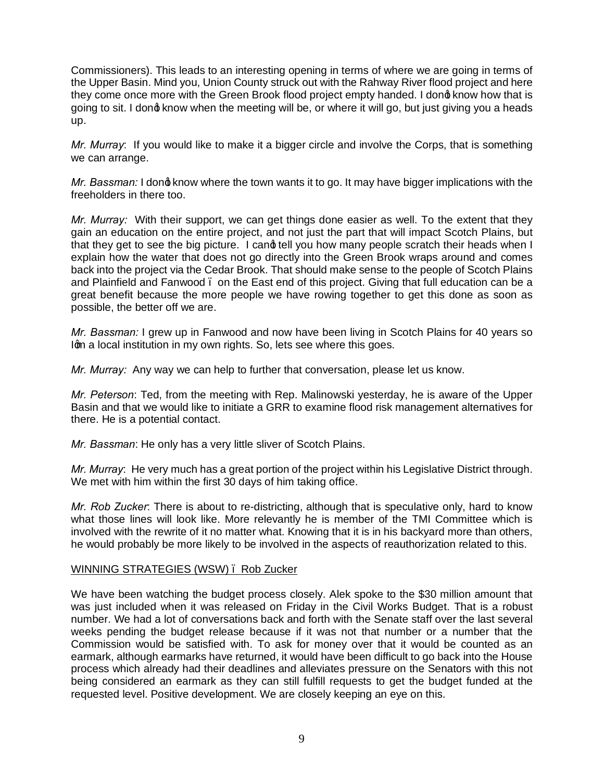Commissioners). This leads to an interesting opening in terms of where we are going in terms of the Upper Basin. Mind you, Union County struck out with the Rahway River flood project and here they come once more with the Green Brook flood project empty handed. I dong know how that is going to sit. I dong know when the meeting will be, or where it will go, but just giving you a heads up.

*Mr. Murray*: If you would like to make it a bigger circle and involve the Corps, that is something we can arrange.

*Mr. Bassman:* I dong know where the town wants it to go. It may have bigger implications with the freeholders in there too.

*Mr. Murray:* With their support, we can get things done easier as well. To the extent that they gain an education on the entire project, and not just the part that will impact Scotch Plains, but that they get to see the big picture. I cand tell you how many people scratch their heads when I explain how the water that does not go directly into the Green Brook wraps around and comes back into the project via the Cedar Brook. That should make sense to the people of Scotch Plains and Plainfield and Fanwood – on the East end of this project. Giving that full education can be a great benefit because the more people we have rowing together to get this done as soon as possible, the better off we are.

*Mr. Bassman:* I grew up in Fanwood and now have been living in Scotch Plains for 40 years so Ign a local institution in my own rights. So, lets see where this goes.

*Mr. Murray:* Any way we can help to further that conversation, please let us know.

*Mr. Peterson*: Ted, from the meeting with Rep. Malinowski yesterday, he is aware of the Upper Basin and that we would like to initiate a GRR to examine flood risk management alternatives for there. He is a potential contact.

*Mr. Bassman*: He only has a very little sliver of Scotch Plains.

*Mr. Murray*: He very much has a great portion of the project within his Legislative District through. We met with him within the first 30 days of him taking office.

*Mr. Rob Zucker*: There is about to re-districting, although that is speculative only, hard to know what those lines will look like. More relevantly he is member of the TMI Committee which is involved with the rewrite of it no matter what. Knowing that it is in his backyard more than others, he would probably be more likely to be involved in the aspects of reauthorization related to this.

## WINNING STRATEGIES (WSW) – Rob Zucker

We have been watching the budget process closely. Alek spoke to the \$30 million amount that was just included when it was released on Friday in the Civil Works Budget. That is a robust number. We had a lot of conversations back and forth with the Senate staff over the last several weeks pending the budget release because if it was not that number or a number that the Commission would be satisfied with. To ask for money over that it would be counted as an earmark, although earmarks have returned, it would have been difficult to go back into the House process which already had their deadlines and alleviates pressure on the Senators with this not being considered an earmark as they can still fulfill requests to get the budget funded at the requested level. Positive development. We are closely keeping an eye on this.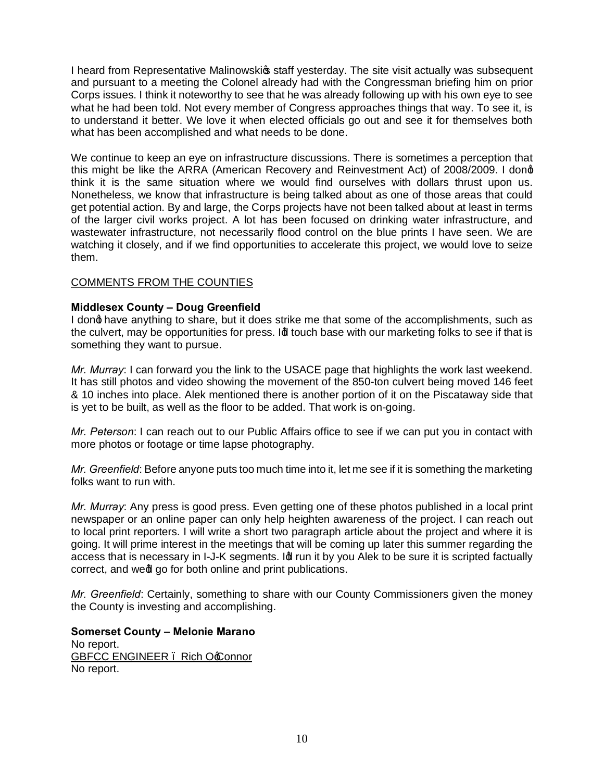I heard from Representative Malinowskic staff yesterday. The site visit actually was subsequent and pursuant to a meeting the Colonel already had with the Congressman briefing him on prior Corps issues. I think it noteworthy to see that he was already following up with his own eye to see what he had been told. Not every member of Congress approaches things that way. To see it, is to understand it better. We love it when elected officials go out and see it for themselves both what has been accomplished and what needs to be done.

We continue to keep an eye on infrastructure discussions. There is sometimes a perception that this might be like the ARRA (American Recovery and Reinvestment Act) of 2008/2009. I dong think it is the same situation where we would find ourselves with dollars thrust upon us. Nonetheless, we know that infrastructure is being talked about as one of those areas that could get potential action. By and large, the Corps projects have not been talked about at least in terms of the larger civil works project. A lot has been focused on drinking water infrastructure, and wastewater infrastructure, not necessarily flood control on the blue prints I have seen. We are watching it closely, and if we find opportunities to accelerate this project, we would love to seize them.

## COMMENTS FROM THE COUNTIES

## **Middlesex County – Doug Greenfield**

I dong have anything to share, but it does strike me that some of the accomplishments, such as the culvert, may be opportunities for press. Id touch base with our marketing folks to see if that is something they want to pursue.

*Mr. Murray*: I can forward you the link to the USACE page that highlights the work last weekend. It has still photos and video showing the movement of the 850-ton culvert being moved 146 feet & 10 inches into place. Alek mentioned there is another portion of it on the Piscataway side that is yet to be built, as well as the floor to be added. That work is on-going.

*Mr. Peterson*: I can reach out to our Public Affairs office to see if we can put you in contact with more photos or footage or time lapse photography.

*Mr. Greenfield*: Before anyone puts too much time into it, let me see if it is something the marketing folks want to run with.

*Mr. Murray*: Any press is good press. Even getting one of these photos published in a local print newspaper or an online paper can only help heighten awareness of the project. I can reach out to local print reporters. I will write a short two paragraph article about the project and where it is going. It will prime interest in the meetings that will be coming up later this summer regarding the access that is necessary in I-J-K segments. Id run it by you Alek to be sure it is scripted factually correct, and wedl go for both online and print publications.

*Mr. Greenfield*: Certainly, something to share with our County Commissioners given the money the County is investing and accomplishing.

**Somerset County – Melonie Marano** No report. GBFCC ENGINEER . Rich Occonnor No report.